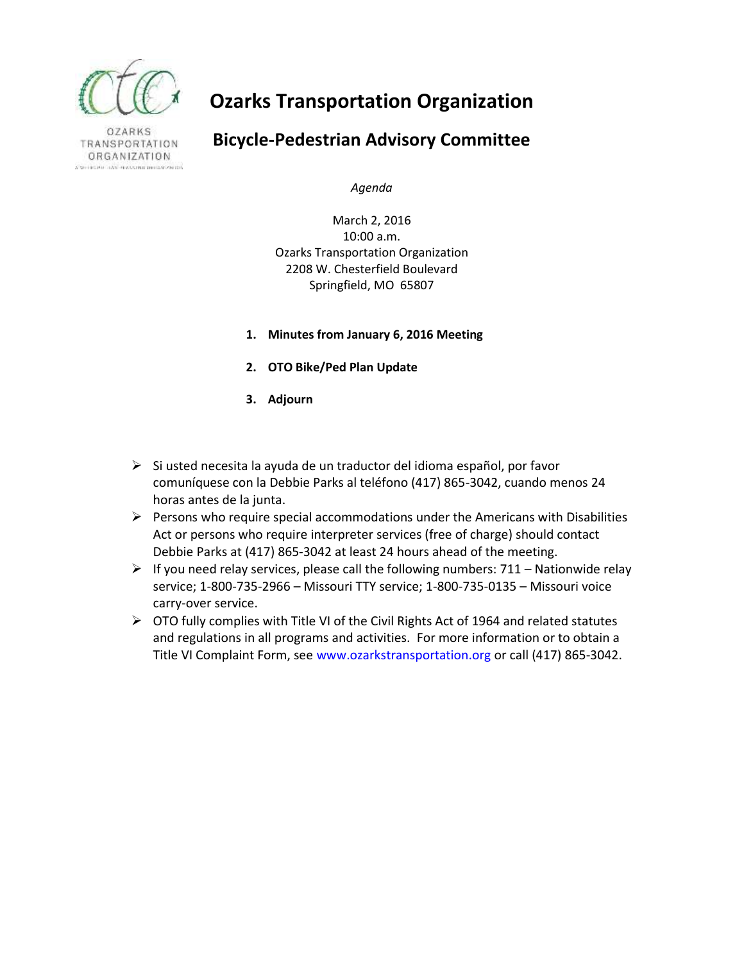

**OZARKS** TRANSPORTATION ORGANIZATION CREDIT TAX HAVAILED DRAFT AND

# **Ozarks Transportation Organization**

## **Bicycle-Pedestrian Advisory Committee**

*Agenda*

March 2, 2016 10:00 a.m. Ozarks Transportation Organization 2208 W. Chesterfield Boulevard Springfield, MO 65807

- **1. Minutes from January 6, 2016 Meeting**
- **2. OTO Bike/Ped Plan Update**
- **3. Adjourn**
- $\triangleright$  Si usted necesita la ayuda de un traductor del idioma español, por favor comuníquese con la Debbie Parks al teléfono (417) 865-3042, cuando menos 24 horas antes de la junta.
- $\triangleright$  Persons who require special accommodations under the Americans with Disabilities Act or persons who require interpreter services (free of charge) should contact Debbie Parks at (417) 865-3042 at least 24 hours ahead of the meeting.
- $\triangleright$  If you need relay services, please call the following numbers: 711 Nationwide relay service; 1-800-735-2966 – Missouri TTY service; 1-800-735-0135 – Missouri voice carry-over service.
- $\triangleright$  OTO fully complies with Title VI of the Civil Rights Act of 1964 and related statutes and regulations in all programs and activities. For more information or to obtain a Title VI Complaint Form, see www.ozarkstransportation.org or call (417) 865-3042.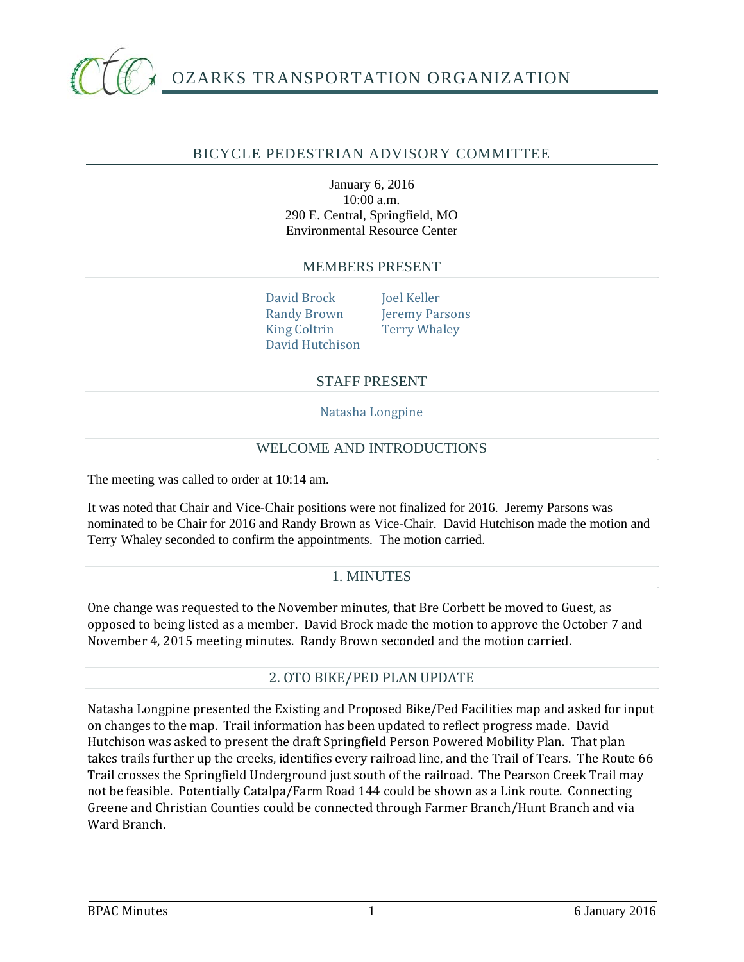

### BICYCLE PEDESTRIAN ADVISORY COMMITTEE

January 6, 2016 10:00 a.m. 290 E. Central, Springfield, MO Environmental Resource Center

#### MEMBERS PRESENT

David Brock Joel Keller King Coltrin Terry Whaley David Hutchison

Randy Brown Jeremy Parsons

#### STAFF PRESENT

Natasha Longpine

#### WELCOME AND INTRODUCTIONS

The meeting was called to order at 10:14 am.

It was noted that Chair and Vice-Chair positions were not finalized for 2016. Jeremy Parsons was nominated to be Chair for 2016 and Randy Brown as Vice-Chair. David Hutchison made the motion and Terry Whaley seconded to confirm the appointments. The motion carried.

#### 1. MINUTES

One change was requested to the November minutes, that Bre Corbett be moved to Guest, as opposed to being listed as a member. David Brock made the motion to approve the October 7 and November 4, 2015 meeting minutes. Randy Brown seconded and the motion carried.

#### 2. OTO BIKE/PED PLAN UPDATE

Natasha Longpine presented the Existing and Proposed Bike/Ped Facilities map and asked for input on changes to the map. Trail information has been updated to reflect progress made. David Hutchison was asked to present the draft Springfield Person Powered Mobility Plan. That plan takes trails further up the creeks, identifies every railroad line, and the Trail of Tears. The Route 66 Trail crosses the Springfield Underground just south of the railroad. The Pearson Creek Trail may not be feasible. Potentially Catalpa/Farm Road 144 could be shown as a Link route. Connecting Greene and Christian Counties could be connected through Farmer Branch/Hunt Branch and via Ward Branch.